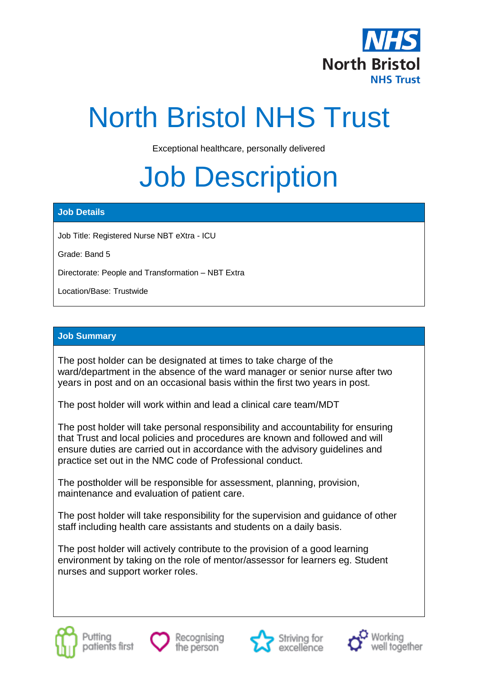

# North Bristol NHS Trust

Exceptional healthcare, personally delivered

## Job Description

## **Job Details**

Job Title: Registered Nurse NBT eXtra - ICU

Grade: Band 5

Directorate: People and Transformation – NBT Extra

Location/Base: Trustwide

## **Job Summary**

The post holder can be designated at times to take charge of the ward/department in the absence of the ward manager or senior nurse after two years in post and on an occasional basis within the first two years in post.

The post holder will work within and lead a clinical care team/MDT

The post holder will take personal responsibility and accountability for ensuring that Trust and local policies and procedures are known and followed and will ensure duties are carried out in accordance with the advisory guidelines and practice set out in the NMC code of Professional conduct.

The postholder will be responsible for assessment, planning, provision, maintenance and evaluation of patient care.

The post holder will take responsibility for the supervision and guidance of other staff including health care assistants and students on a daily basis.

The post holder will actively contribute to the provision of a good learning environment by taking on the role of mentor/assessor for learners eg. Student nurses and support worker roles.











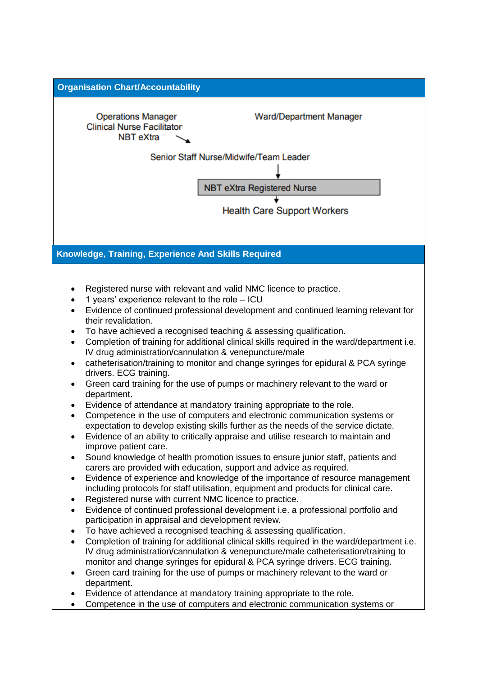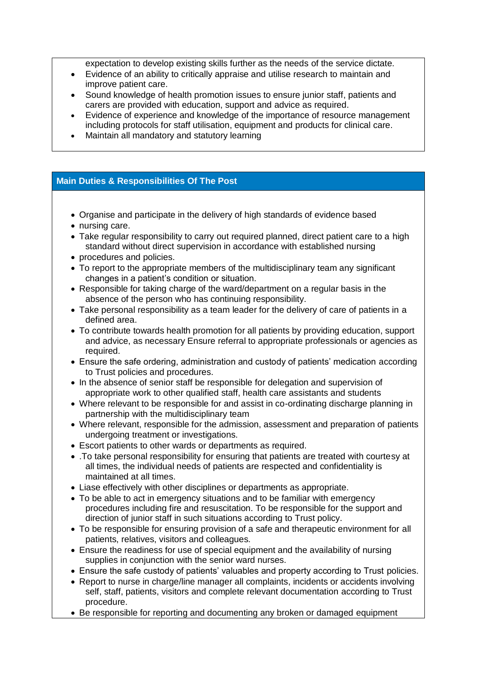expectation to develop existing skills further as the needs of the service dictate.

- Evidence of an ability to critically appraise and utilise research to maintain and improve patient care.
- Sound knowledge of health promotion issues to ensure junior staff, patients and carers are provided with education, support and advice as required.
- Evidence of experience and knowledge of the importance of resource management including protocols for staff utilisation, equipment and products for clinical care.
- Maintain all mandatory and statutory learning

## **Main Duties & Responsibilities Of The Post**

- Organise and participate in the delivery of high standards of evidence based
- nursing care.
- Take regular responsibility to carry out required planned, direct patient care to a high standard without direct supervision in accordance with established nursing
- procedures and policies.
- To report to the appropriate members of the multidisciplinary team any significant changes in a patient's condition or situation.
- Responsible for taking charge of the ward/department on a regular basis in the absence of the person who has continuing responsibility.
- Take personal responsibility as a team leader for the delivery of care of patients in a defined area.
- To contribute towards health promotion for all patients by providing education, support and advice, as necessary Ensure referral to appropriate professionals or agencies as required.
- Ensure the safe ordering, administration and custody of patients' medication according to Trust policies and procedures.
- In the absence of senior staff be responsible for delegation and supervision of appropriate work to other qualified staff, health care assistants and students
- Where relevant to be responsible for and assist in co-ordinating discharge planning in partnership with the multidisciplinary team
- Where relevant, responsible for the admission, assessment and preparation of patients undergoing treatment or investigations.
- Escort patients to other wards or departments as required.
- .To take personal responsibility for ensuring that patients are treated with courtesy at all times, the individual needs of patients are respected and confidentiality is maintained at all times.
- Liase effectively with other disciplines or departments as appropriate.
- To be able to act in emergency situations and to be familiar with emergency procedures including fire and resuscitation. To be responsible for the support and direction of junior staff in such situations according to Trust policy.
- To be responsible for ensuring provision of a safe and therapeutic environment for all patients, relatives, visitors and colleagues.
- Ensure the readiness for use of special equipment and the availability of nursing supplies in conjunction with the senior ward nurses.
- Ensure the safe custody of patients' valuables and property according to Trust policies.
- Report to nurse in charge/line manager all complaints, incidents or accidents involving self, staff, patients, visitors and complete relevant documentation according to Trust procedure.
- Be responsible for reporting and documenting any broken or damaged equipment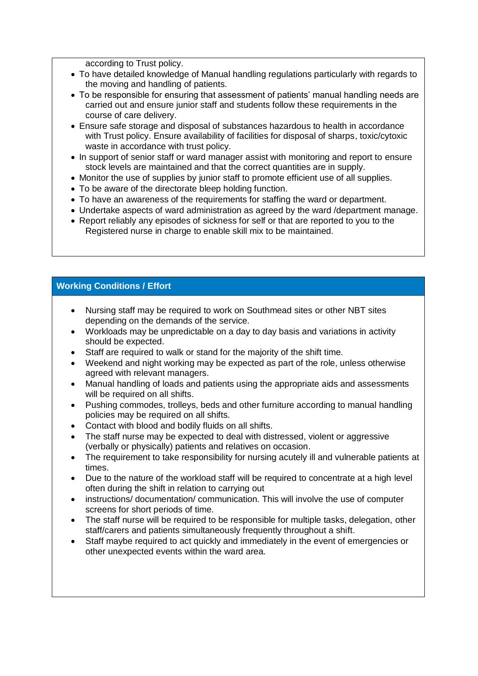according to Trust policy.

- To have detailed knowledge of Manual handling regulations particularly with regards to the moving and handling of patients.
- To be responsible for ensuring that assessment of patients' manual handling needs are carried out and ensure junior staff and students follow these requirements in the course of care delivery.
- Ensure safe storage and disposal of substances hazardous to health in accordance with Trust policy. Ensure availability of facilities for disposal of sharps, toxic/cytoxic waste in accordance with trust policy.
- In support of senior staff or ward manager assist with monitoring and report to ensure stock levels are maintained and that the correct quantities are in supply.
- Monitor the use of supplies by junior staff to promote efficient use of all supplies.
- To be aware of the directorate bleep holding function.
- To have an awareness of the requirements for staffing the ward or department.
- Undertake aspects of ward administration as agreed by the ward /department manage.
- Report reliably any episodes of sickness for self or that are reported to you to the Registered nurse in charge to enable skill mix to be maintained.

## **Working Conditions / Effort**

- Nursing staff may be required to work on Southmead sites or other NBT sites depending on the demands of the service.
- Workloads may be unpredictable on a day to day basis and variations in activity should be expected.
- Staff are required to walk or stand for the majority of the shift time.
- Weekend and night working may be expected as part of the role, unless otherwise agreed with relevant managers.
- Manual handling of loads and patients using the appropriate aids and assessments will be required on all shifts.
- Pushing commodes, trolleys, beds and other furniture according to manual handling policies may be required on all shifts.
- Contact with blood and bodily fluids on all shifts.
- The staff nurse may be expected to deal with distressed, violent or aggressive (verbally or physically) patients and relatives on occasion.
- The requirement to take responsibility for nursing acutely ill and vulnerable patients at times.
- Due to the nature of the workload staff will be required to concentrate at a high level often during the shift in relation to carrying out
- instructions/ documentation/ communication. This will involve the use of computer screens for short periods of time.
- The staff nurse will be required to be responsible for multiple tasks, delegation, other staff/carers and patients simultaneously frequently throughout a shift.
- Staff maybe required to act quickly and immediately in the event of emergencies or other unexpected events within the ward area.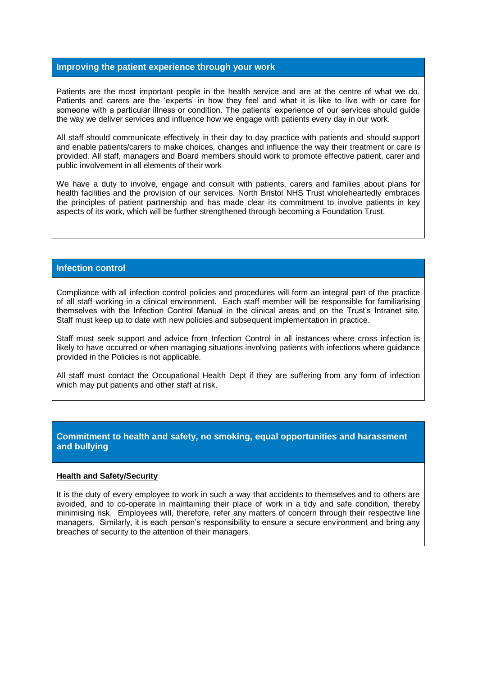#### **Improving the patient experience through your work**

Patients are the most important people in the health service and are at the centre of what we do. Patients and carers are the 'experts' in how they feel and what it is like to live with or care for someone with a particular illness or condition. The patients' experience of our services should guide the way we deliver services and influence how we engage with patients every day in our work.

All staff should communicate effectively in their day to day practice with patients and should support and enable patients/carers to make choices, changes and influence the way their treatment or care is provided. All staff, managers and Board members should work to promote effective patient, carer and public involvement in all elements of their work

We have a duty to involve, engage and consult with patients, carers and families about plans for health facilities and the provision of our services. North Bristol NHS Trust wholeheartedly embraces the principles of patient partnership and has made clear its commitment to involve patients in key aspects of its work, which will be further strengthened through becoming a Foundation Trust.

## **Infection control**

Compliance with all infection control policies and procedures will form an integral part of the practice of all staff working in a clinical environment. Each staff member will be responsible for familiarising themselves with the Infection Control Manual in the clinical areas and on the Trust's Intranet site. Staff must keep up to date with new policies and subsequent implementation in practice.

Staff must seek support and advice from Infection Control in all instances where cross infection is likely to have occurred or when managing situations involving patients with infections where guidance provided in the Policies is not applicable.

All staff must contact the Occupational Health Dept if they are suffering from any form of infection which may put patients and other staff at risk.

## **Commitment to health and safety, no smoking, equal opportunities and harassment and bullying**

#### **Health and Safety/Security**

It is the duty of every employee to work in such a way that accidents to themselves and to others are avoided, and to co-operate in maintaining their place of work in a tidy and safe condition, thereby minimising risk. Employees will, therefore, refer any matters of concern through their respective line managers. Similarly, it is each person's responsibility to ensure a secure environment and bring any breaches of security to the attention of their managers.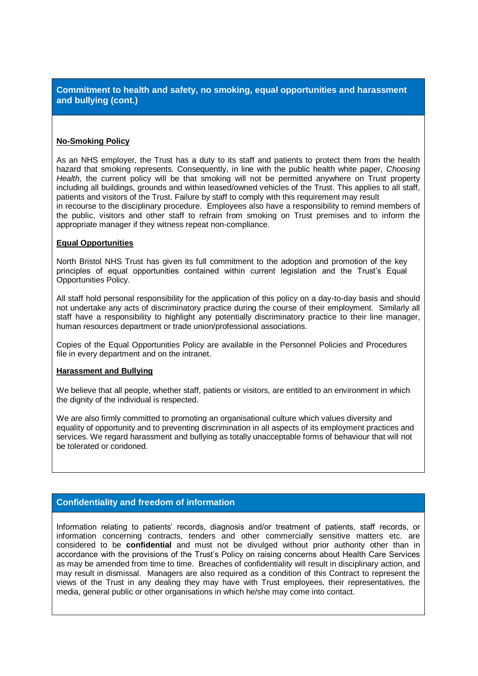## **Commitment to health and safety, no smoking, equal opportunities and harassment and bullying (cont.)**

#### **No-Smoking Policy**

As an NHS employer, the Trust has a duty to its staff and patients to protect them from the health hazard that smoking represents. Consequently, in line with the public health white paper, *Choosing Health*, the current policy will be that smoking will not be permitted anywhere on Trust property including all buildings, grounds and within leased/owned vehicles of the Trust. This applies to all staff, patients and visitors of the Trust. Failure by staff to comply with this requirement may result in recourse to the disciplinary procedure. Employees also have a responsibility to remind members of the public, visitors and other staff to refrain from smoking on Trust premises and to inform the appropriate manager if they witness repeat non-compliance.

#### **Equal Opportunities**

North Bristol NHS Trust has given its full commitment to the adoption and promotion of the key principles of equal opportunities contained within current legislation and the Trust's Equal Opportunities Policy.

All staff hold personal responsibility for the application of this policy on a day-to-day basis and should not undertake any acts of discriminatory practice during the course of their employment. Similarly all staff have a responsibility to highlight any potentially discriminatory practice to their line manager, human resources department or trade union/professional associations.

Copies of the Equal Opportunities Policy are available in the Personnel Policies and Procedures file in every department and on the intranet.

#### **Harassment and Bullying**

We believe that all people, whether staff, patients or visitors, are entitled to an environment in which the dignity of the individual is respected.

We are also firmly committed to promoting an organisational culture which values diversity and equality of opportunity and to preventing discrimination in all aspects of its employment practices and services. We regard harassment and bullying as totally unacceptable forms of behaviour that will not be tolerated or condoned.

## **Confidentiality and freedom of information**

Information relating to patients' records, diagnosis and/or treatment of patients, staff records, or information concerning contracts, tenders and other commercially sensitive matters etc. are considered to be **confidential** and must not be divulged without prior authority other than in accordance with the provisions of the Trust's Policy on raising concerns about Health Care Services as may be amended from time to time. Breaches of confidentiality will result in disciplinary action, and may result in dismissal. Managers are also required as a condition of this Contract to represent the views of the Trust in any dealing they may have with Trust employees, their representatives, the media, general public or other organisations in which he/she may come into contact.